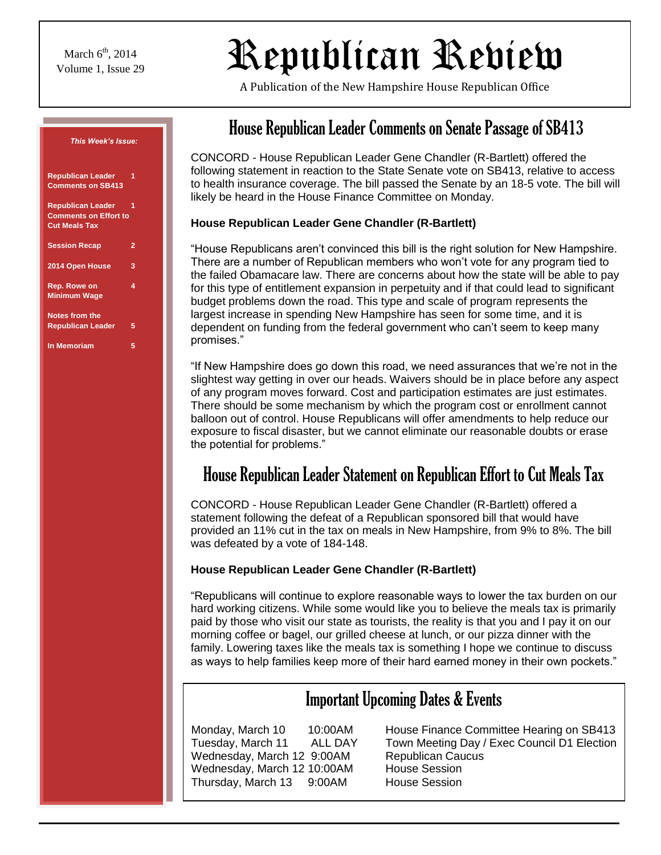# $\mathbb{R}_{\text{Volume 1, Issue 29}}$  Republican Review  $\Big|$

A Publication of the New Hampshire House Republican Office

| This Week's Issue:                                                               |   |
|----------------------------------------------------------------------------------|---|
| <b>Republican Leader</b><br><b>Comments on SB413</b>                             | 1 |
| <b>Republican Leader</b><br><b>Comments on Effort to</b><br><b>Cut Meals Tax</b> |   |
| <b>Session Recap</b>                                                             | 2 |
| 2014 Open House                                                                  | 3 |
| Rep. Rowe on<br><b>Minimum Wage</b>                                              | 4 |
| <b>Notes from the</b><br><b>Republican Leader</b>                                | 5 |
| <b>In Memoriam</b>                                                               | 5 |

# House Republican Leader Comments on Senate Passage of SB413

CONCORD - House Republican Leader Gene Chandler (R-Bartlett) offered the following statement in reaction to the State Senate vote on SB413, relative to access to health insurance coverage. The bill passed the Senate by an 18-5 vote. The bill will likely be heard in the House Finance Committee on Monday.

#### **House Republican Leader Gene Chandler (R-Bartlett)**

"House Republicans aren't convinced this bill is the right solution for New Hampshire. There are a number of Republican members who won't vote for any program tied to the failed Obamacare law. There are concerns about how the state will be able to pay for this type of entitlement expansion in perpetuity and if that could lead to significant budget problems down the road. This type and scale of program represents the largest increase in spending New Hampshire has seen for some time, and it is dependent on funding from the federal government who can't seem to keep many promises."

"If New Hampshire does go down this road, we need assurances that we're not in the slightest way getting in over our heads. Waivers should be in place before any aspect of any program moves forward. Cost and participation estimates are just estimates. There should be some mechanism by which the program cost or enrollment cannot balloon out of control. House Republicans will offer amendments to help reduce our exposure to fiscal disaster, but we cannot eliminate our reasonable doubts or erase the potential for problems."

# House Republican Leader Statement on Republican Effort to Cut Meals Tax

CONCORD - House Republican Leader Gene Chandler (R-Bartlett) offered a statement following the defeat of a Republican sponsored bill that would have provided an 11% cut in the tax on meals in New Hampshire, from 9% to 8%. The bill was defeated by a vote of 184-148.

#### **House Republican Leader Gene Chandler (R-Bartlett)**

"Republicans will continue to explore reasonable ways to lower the tax burden on our hard working citizens. While some would like you to believe the meals tax is primarily paid by those who visit our state as tourists, the reality is that you and I pay it on our morning coffee or bagel, our grilled cheese at lunch, or our pizza dinner with the family. Lowering taxes like the meals tax is something I hope we continue to discuss as ways to help families keep more of their hard earned money in their own pockets."

### Important Upcoming Dates & Events

Wednesday, March 12 9:00AM Republican Caucus Wednesday, March 12 10:00AM House Session Thursday, March 13 9:00AM House Session

Monday, March 10 10:00AM House Finance Committee Hearing on SB413 Tuesday, March 11 ALL DAY Town Meeting Day / Exec Council D1 Election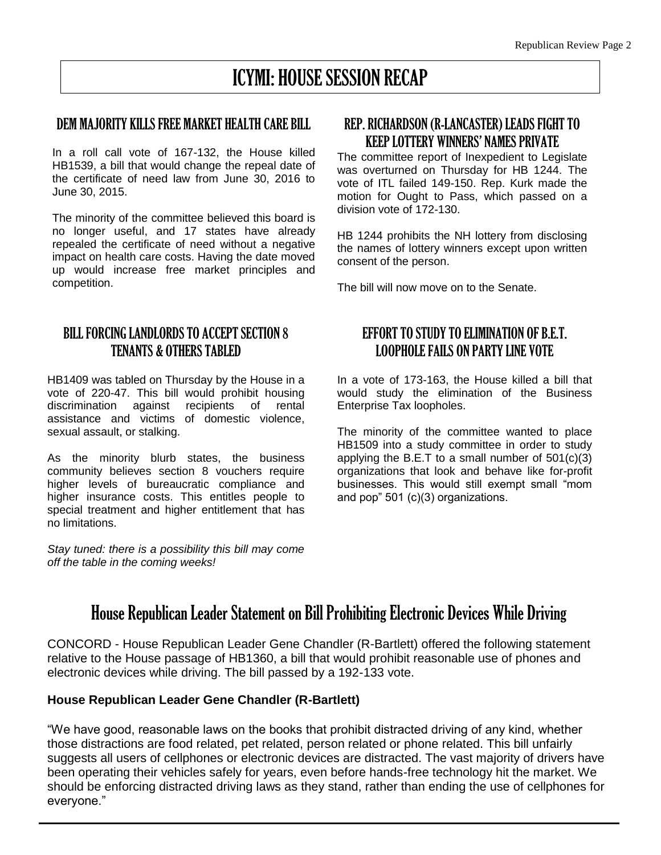# ICYMI: HOUSE SESSION RECAP

#### DEM MAJORITY KILLSFREE MARKET HEALTH CARE BILL

In a roll call vote of 167-132, the House killed HB1539, a bill that would change the repeal date of the certificate of need law from June 30, 2016 to June 30, 2015.

The minority of the committee believed this board is no longer useful, and 17 states have already repealed the certificate of need without a negative impact on health care costs. Having the date moved up would increase free market principles and competition.

### BILL FORCING LANDLORDS TO ACCEPT SECTION 8 TENANTS & OTHERSTABLED

HB1409 was tabled on Thursday by the House in a vote of 220-47. This bill would prohibit housing discrimination against recipients of rental assistance and victims of domestic violence, sexual assault, or stalking.

As the minority blurb states, the business community believes section 8 vouchers require higher levels of bureaucratic compliance and higher insurance costs. This entitles people to special treatment and higher entitlement that has no limitations.

*Stay tuned: there is a possibility this bill may come off the table in the coming weeks!*

### REP. RICHARDSON (R-LANCASTER) LEADS FIGHT TO KEEP LOTTERY WINNERS' NAMES PRIVATE

The committee report of Inexpedient to Legislate was overturned on Thursday for HB 1244. The vote of ITL failed 149-150. Rep. Kurk made the motion for Ought to Pass, which passed on a division vote of 172-130.

HB 1244 prohibits the NH lottery from disclosing the names of lottery winners except upon written consent of the person.

The bill will now move on to the Senate.

### EFFORT TO STUDY TO ELIMINATION OF B.E.T. LOOPHOLE FAILS ON PARTY LINE VOTE

In a vote of 173-163, the House killed a bill that would study the elimination of the Business Enterprise Tax loopholes.

The minority of the committee wanted to place HB1509 into a study committee in order to study applying the B.E.T to a small number of  $501(c)(3)$ organizations that look and behave like for-profit businesses. This would still exempt small "mom and pop" 501 (c)(3) organizations.

### House Republican Leader Statement on Bill Prohibiting Electronic Devices While Driving

CONCORD - House Republican Leader Gene Chandler (R-Bartlett) offered the following statement relative to the House passage of HB1360, a bill that would prohibit reasonable use of phones and electronic devices while driving. The bill passed by a 192-133 vote.

#### **House Republican Leader Gene Chandler (R-Bartlett)**

"We have good, reasonable laws on the books that prohibit distracted driving of any kind, whether those distractions are food related, pet related, person related or phone related. This bill unfairly suggests all users of cellphones or electronic devices are distracted. The vast majority of drivers have been operating their vehicles safely for years, even before hands-free technology hit the market. We should be enforcing distracted driving laws as they stand, rather than ending the use of cellphones for everyone."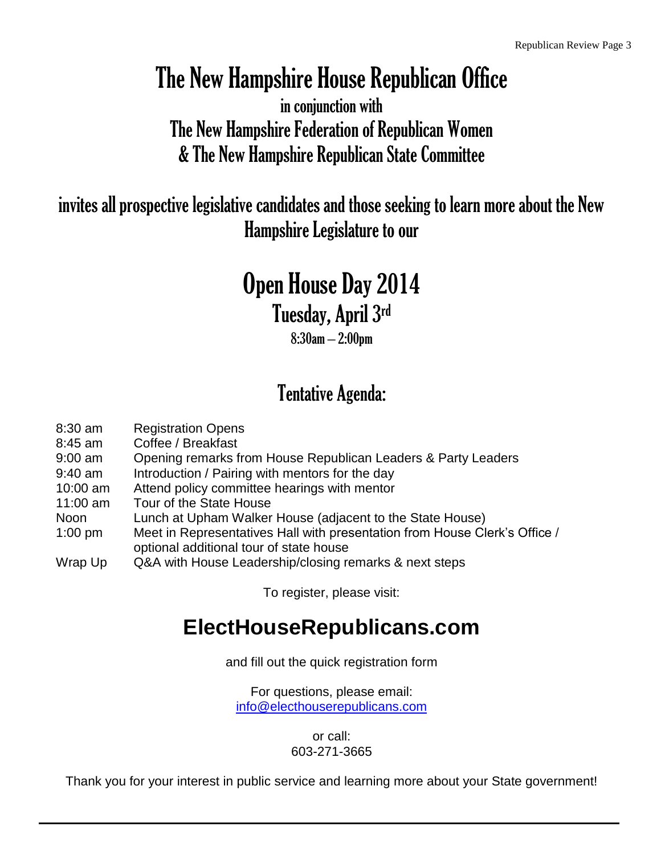# The New Hampshire House Republican Office

in conjunction with The New Hampshire Federation of Republican Women & The New Hampshire Republican State Committee

invites all prospective legislative candidates and those seeking to learn more about the New Hampshire Legislature to our

# Open House Day 2014

Tuesday, April 3rd

8:30am – 2:00pm

# Tentative Agenda:

| 8:30 am   | <b>Registration Opens</b>                                                  |
|-----------|----------------------------------------------------------------------------|
| 8:45 am   | Coffee / Breakfast                                                         |
| 9:00 am   | Opening remarks from House Republican Leaders & Party Leaders              |
| 9:40 am   | Introduction / Pairing with mentors for the day                            |
| 10:00 am  | Attend policy committee hearings with mentor                               |
| 11:00 am  | Tour of the State House                                                    |
| Noon      | Lunch at Upham Walker House (adjacent to the State House)                  |
| $1:00$ pm | Meet in Representatives Hall with presentation from House Clerk's Office / |
|           | optional additional tour of state house                                    |
| Wrap Up   | Q&A with House Leadership/closing remarks & next steps                     |

To register, please visit:

# **ElectHouseRepublicans.com**

and fill out the quick registration form

For questions, please email: [info@electhouserepublicans.com](mailto:info@electhouserepublicans.com)

> or call: 603-271-3665

Thank you for your interest in public service and learning more about your State government!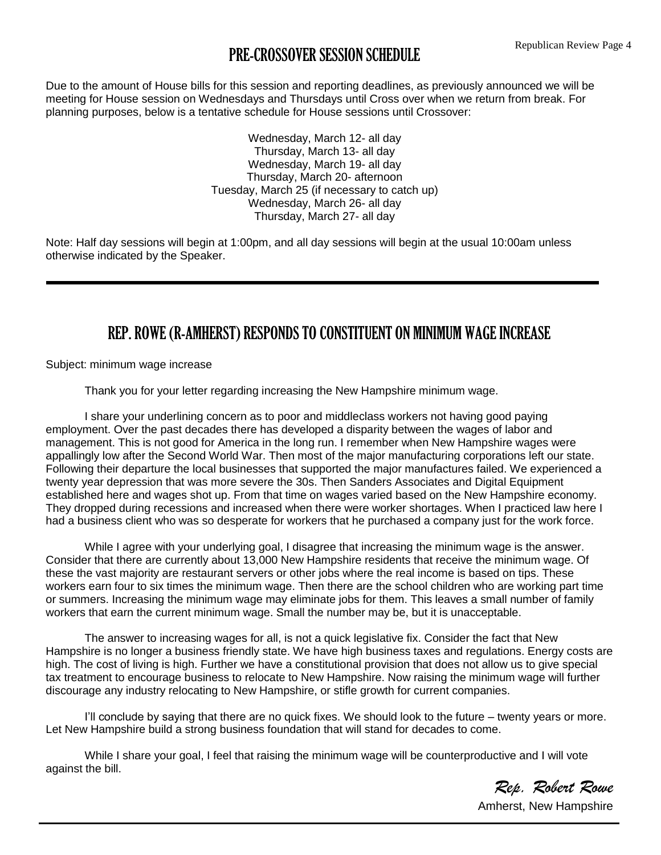### PRE-CROSSOVER SESSION SCHEDULE

Due to the amount of House bills for this session and reporting deadlines, as previously announced we will be meeting for House session on Wednesdays and Thursdays until Cross over when we return from break. For planning purposes, below is a tentative schedule for House sessions until Crossover:

> Wednesday, March 12- all day Thursday, March 13- all day Wednesday, March 19- all day Thursday, March 20- afternoon Tuesday, March 25 (if necessary to catch up) Wednesday, March 26- all day Thursday, March 27- all day

Note: Half day sessions will begin at 1:00pm, and all day sessions will begin at the usual 10:00am unless otherwise indicated by the Speaker.

### REP. ROWE (R-AMHERST) RESPONDS TO CONSTITUENT ON MINIMUM WAGE INCREASE

Subject: minimum wage increase

Thank you for your letter regarding increasing the New Hampshire minimum wage.

I share your underlining concern as to poor and middleclass workers not having good paying employment. Over the past decades there has developed a disparity between the wages of labor and management. This is not good for America in the long run. I remember when New Hampshire wages were appallingly low after the Second World War. Then most of the major manufacturing corporations left our state. Following their departure the local businesses that supported the major manufactures failed. We experienced a twenty year depression that was more severe the 30s. Then Sanders Associates and Digital Equipment established here and wages shot up. From that time on wages varied based on the New Hampshire economy. They dropped during recessions and increased when there were worker shortages. When I practiced law here I had a business client who was so desperate for workers that he purchased a company just for the work force.

While I agree with your underlying goal, I disagree that increasing the minimum wage is the answer. Consider that there are currently about 13,000 New Hampshire residents that receive the minimum wage. Of these the vast majority are restaurant servers or other jobs where the real income is based on tips. These workers earn four to six times the minimum wage. Then there are the school children who are working part time or summers. Increasing the minimum wage may eliminate jobs for them. This leaves a small number of family workers that earn the current minimum wage. Small the number may be, but it is unacceptable.

The answer to increasing wages for all, is not a quick legislative fix. Consider the fact that New Hampshire is no longer a business friendly state. We have high business taxes and regulations. Energy costs are high. The cost of living is high. Further we have a constitutional provision that does not allow us to give special tax treatment to encourage business to relocate to New Hampshire. Now raising the minimum wage will further discourage any industry relocating to New Hampshire, or stifle growth for current companies.

I'll conclude by saying that there are no quick fixes. We should look to the future – twenty years or more. Let New Hampshire build a strong business foundation that will stand for decades to come.

While I share your goal, I feel that raising the minimum wage will be counterproductive and I will vote against the bill.

*Rep. Robert Rowe*

Amherst, New Hampshire